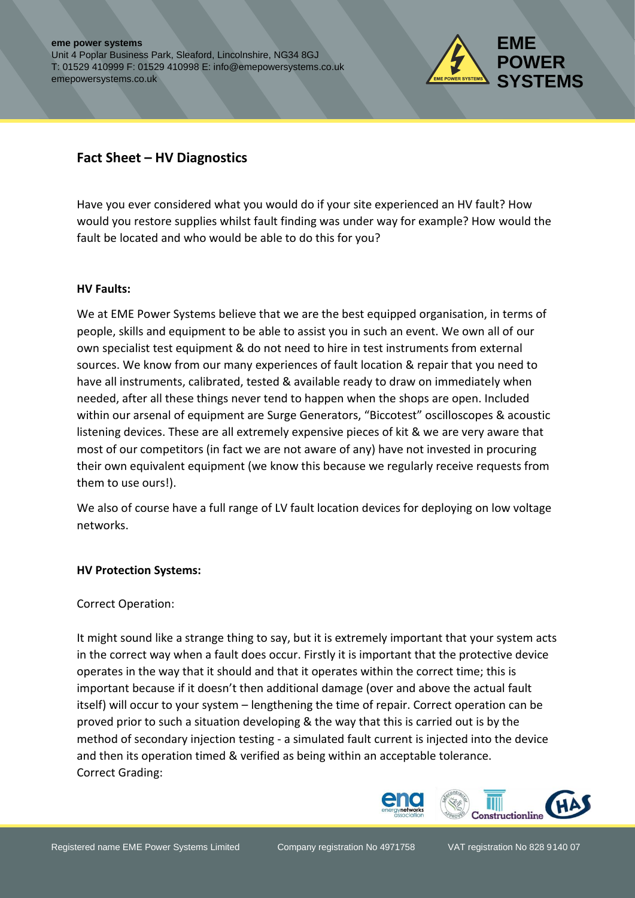

## **Fact Sheet – HV Diagnostics**

Have you ever considered what you would do if your site experienced an HV fault? How would you restore supplies whilst fault finding was under way for example? How would the fault be located and who would be able to do this for you?

## **HV Faults:**

We at EME Power Systems believe that we are the best equipped organisation, in terms of people, skills and equipment to be able to assist you in such an event. We own all of our own specialist test equipment & do not need to hire in test instruments from external sources. We know from our many experiences of fault location & repair that you need to have all instruments, calibrated, tested & available ready to draw on immediately when needed, after all these things never tend to happen when the shops are open. Included within our arsenal of equipment are Surge Generators, "Biccotest" oscilloscopes & acoustic listening devices. These are all extremely expensive pieces of kit & we are very aware that most of our competitors (in fact we are not aware of any) have not invested in procuring their own equivalent equipment (we know this because we regularly receive requests from them to use ours!).

We also of course have a full range of LV fault location devices for deploying on low voltage networks.

## **HV Protection Systems:**

Correct Operation:

It might sound like a strange thing to say, but it is extremely important that your system acts in the correct way when a fault does occur. Firstly it is important that the protective device operates in the way that it should and that it operates within the correct time; this is important because if it doesn't then additional damage (over and above the actual fault itself) will occur to your system – lengthening the time of repair. Correct operation can be proved prior to such a situation developing & the way that this is carried out is by the method of secondary injection testing - a simulated fault current is injected into the device and then its operation timed & verified as being within an acceptable tolerance. Correct Grading: